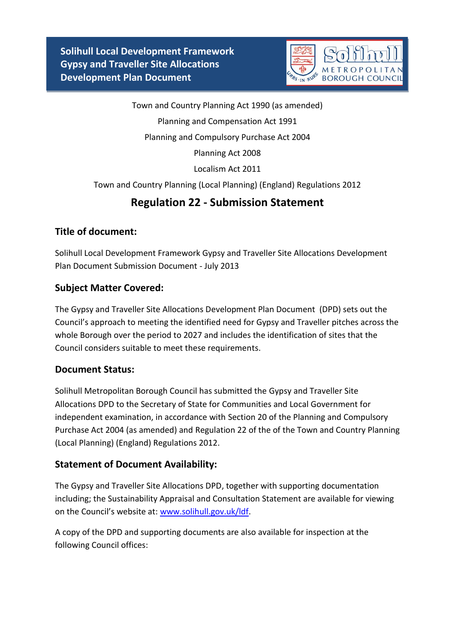**Solihull Local Development Framework Gypsy and Traveller Site Allocations Development Plan Document**



Town and Country Planning Act 1990 (as amended) Planning and Compensation Act 1991 Planning and Compulsory Purchase Act 2004 Planning Act 2008 Localism Act 2011 Town and Country Planning (Local Planning) (England) Regulations 2012

# **Regulation 22 - Submission Statement**

# **Title of document:**

Solihull Local Development Framework Gypsy and Traveller Site Allocations Development Plan Document Submission Document - July 2013

### **Subject Matter Covered:**

The Gypsy and Traveller Site Allocations Development Plan Document (DPD) sets out the Council's approach to meeting the identified need for Gypsy and Traveller pitches across the whole Borough over the period to 2027 and includes the identification of sites that the Council considers suitable to meet these requirements.

# **Document Status:**

Solihull Metropolitan Borough Council has submitted the Gypsy and Traveller Site Allocations DPD to the Secretary of State for Communities and Local Government for independent examination, in accordance with Section 20 of the Planning and Compulsory Purchase Act 2004 (as amended) and Regulation 22 of the of the Town and Country Planning (Local Planning) (England) Regulations 2012.

# **Statement of Document Availability:**

The Gypsy and Traveller Site Allocations DPD, together with supporting documentation including; the Sustainability Appraisal and Consultation Statement are available for viewing on the Council's website at: [www.solihull.gov.uk/ldf.](http://www.solihull.gov.uk/ldf)

A copy of the DPD and supporting documents are also available for inspection at the following Council offices: